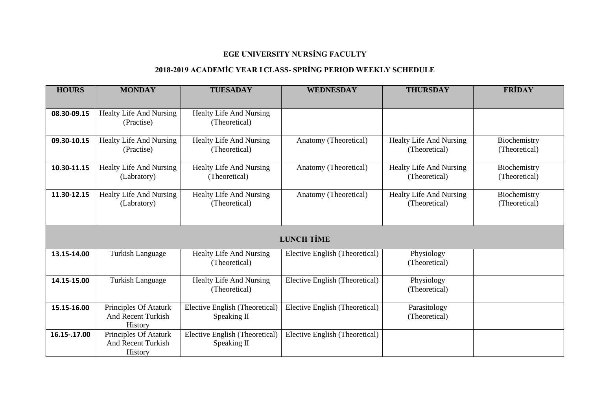### **2018-2019 ACADEMİC YEAR I CLASS- SPRİNG PERIOD WEEKLY SCHEDULE**

| <b>HOURS</b>      | <b>MONDAY</b>                                                 | <b>TUESADAY</b>                                 | <b>WEDNESDAY</b>               | <b>THURSDAY</b>                                 | <b>FRIDAY</b>                 |  |  |
|-------------------|---------------------------------------------------------------|-------------------------------------------------|--------------------------------|-------------------------------------------------|-------------------------------|--|--|
|                   |                                                               |                                                 |                                |                                                 |                               |  |  |
| 08.30-09.15       | Healty Life And Nursing<br>(Practise)                         | <b>Healty Life And Nursing</b><br>(Theoretical) |                                |                                                 |                               |  |  |
| 09.30-10.15       | Healty Life And Nursing<br>(Practise)                         | <b>Healty Life And Nursing</b><br>(Theoretical) | Anatomy (Theoretical)          | <b>Healty Life And Nursing</b><br>(Theoretical) | Biochemistry<br>(Theoretical) |  |  |
| 10.30-11.15       | Healty Life And Nursing<br>(Labratory)                        | <b>Healty Life And Nursing</b><br>(Theoretical) | Anatomy (Theoretical)          | Healty Life And Nursing<br>(Theoretical)        | Biochemistry<br>(Theoretical) |  |  |
| 11.30-12.15       | Healty Life And Nursing<br>(Labratory)                        | Healty Life And Nursing<br>(Theoretical)        | Anatomy (Theoretical)          | Healty Life And Nursing<br>(Theoretical)        | Biochemistry<br>(Theoretical) |  |  |
| <b>LUNCH TİME</b> |                                                               |                                                 |                                |                                                 |                               |  |  |
| 13.15-14.00       | <b>Turkish Language</b>                                       | <b>Healty Life And Nursing</b><br>(Theoretical) | Elective English (Theoretical) | Physiology<br>(Theoretical)                     |                               |  |  |
| 14.15-15.00       | <b>Turkish Language</b>                                       | <b>Healty Life And Nursing</b><br>(Theoretical) | Elective English (Theoretical) | Physiology<br>(Theoretical)                     |                               |  |  |
| 15.15-16.00       | Principles Of Ataturk<br><b>And Recent Turkish</b><br>History | Elective English (Theoretical)<br>Speaking II   | Elective English (Theoretical) | Parasitology<br>(Theoretical)                   |                               |  |  |
| 16.15-.17.00      | Principles Of Ataturk<br><b>And Recent Turkish</b><br>History | Elective English (Theoretical)<br>Speaking II   | Elective English (Theoretical) |                                                 |                               |  |  |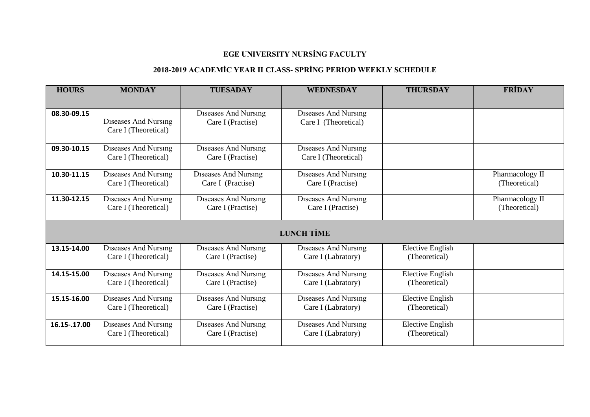### **2018-2019 ACADEMİC YEAR II CLASS- SPRİNG PERIOD WEEKLY SCHEDULE**

| <b>HOURS</b>      | <b>MONDAY</b>                                       | <b>TUESADAY</b>                                  | <b>WEDNESDAY</b>                                    | <b>THURSDAY</b>                          | <b>FRIDAY</b>                    |  |  |
|-------------------|-----------------------------------------------------|--------------------------------------------------|-----------------------------------------------------|------------------------------------------|----------------------------------|--|--|
|                   |                                                     |                                                  |                                                     |                                          |                                  |  |  |
| 08.30-09.15       | Diseases And Nursing<br>Care I (Theoretical)        | <b>Diseases And Nursing</b><br>Care I (Practise) | <b>Diseases And Nursing</b><br>Care I (Theoretical) |                                          |                                  |  |  |
| 09.30-10.15       | Diseases And Nursing<br>Care I (Theoretical)        | <b>Diseases And Nursing</b><br>Care I (Practise) | Diseases And Nursing<br>Care I (Theoretical)        |                                          |                                  |  |  |
| 10.30-11.15       | <b>Diseases And Nursing</b><br>Care I (Theoretical) | <b>Diseases And Nursing</b><br>Care I (Practise) | Diseases And Nursing<br>Care I (Practise)           |                                          | Pharmacology II<br>(Theoretical) |  |  |
| 11.30-12.15       | Diseases And Nursing<br>Care I (Theoretical)        | Diseases And Nursing<br>Care I (Practise)        | <b>Diseases And Nursing</b><br>Care I (Practise)    |                                          | Pharmacology II<br>(Theoretical) |  |  |
| <b>LUNCH TİME</b> |                                                     |                                                  |                                                     |                                          |                                  |  |  |
| 13.15-14.00       | Diseases And Nursing<br>Care I (Theoretical)        | Diseases And Nursing<br>Care I (Practise)        | Diseases And Nursing<br>Care I (Labratory)          | <b>Elective English</b><br>(Theoretical) |                                  |  |  |
| 14.15-15.00       | Diseases And Nursing<br>Care I (Theoretical)        | Diseases And Nursing<br>Care I (Practise)        | Diseases And Nursing<br>Care I (Labratory)          | <b>Elective English</b><br>(Theoretical) |                                  |  |  |
| 15.15-16.00       | <b>Diseases And Nursing</b><br>Care I (Theoretical) | Diseases And Nursing<br>Care I (Practise)        | Diseases And Nursing<br>Care I (Labratory)          | <b>Elective English</b><br>(Theoretical) |                                  |  |  |
| 16.15-.17.00      | Diseases And Nursing<br>Care I (Theoretical)        | Diseases And Nursing<br>Care I (Practise)        | Diseases And Nursing<br>Care I (Labratory)          | <b>Elective English</b><br>(Theoretical) |                                  |  |  |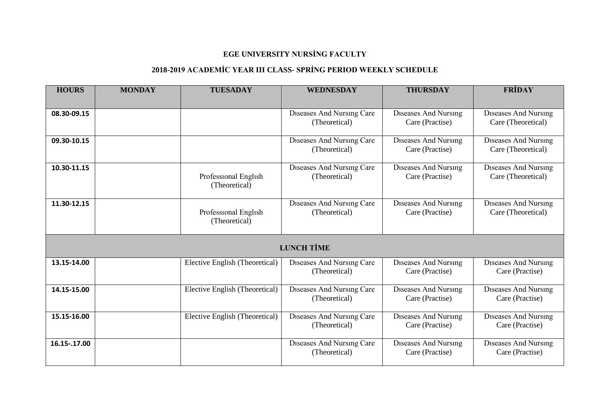### **2018-2019 ACADEMİC YEAR III CLASS- SPRİNG PERIOD WEEKLY SCHEDULE**

| <b>HOURS</b> | <b>MONDAY</b> | <b>TUESADAY</b>                       | <b>WEDNESDAY</b>                           | <b>THURSDAY</b>                                | <b>FRİDAY</b>                                     |
|--------------|---------------|---------------------------------------|--------------------------------------------|------------------------------------------------|---------------------------------------------------|
|              |               |                                       |                                            |                                                |                                                   |
| 08.30-09.15  |               |                                       | Diseases And Nursing Care<br>(Theoretical) | Diseases And Nursing<br>Care (Practise)        | Diseases And Nursing<br>Care (Theoretical)        |
| 09.30-10.15  |               |                                       | Diseases And Nursing Care<br>(Theoretical) | Diseases And Nursing<br>Care (Practise)        | Diseases And Nursing<br>Care (Theoretical)        |
| 10.30-11.15  |               | Professional English<br>(Theoretical) | Diseases And Nursing Care<br>(Theoretical) | <b>Diseases And Nursing</b><br>Care (Practise) | Diseases And Nursing<br>Care (Theoretical)        |
| 11.30-12.15  |               | Professional English<br>(Theoretical) | Diseases And Nursing Care<br>(Theoretical) | Diseases And Nursing<br>Care (Practise)        | <b>Diseases And Nursing</b><br>Care (Theoretical) |
|              |               |                                       | <b>LUNCH TİME</b>                          |                                                |                                                   |
| 13.15-14.00  |               | Elective English (Theoretical)        | Diseases And Nursing Care<br>(Theoretical) | <b>Diseases And Nursing</b><br>Care (Practise) | Diseases And Nursing<br>Care (Practise)           |
| 14.15-15.00  |               | Elective English (Theoretical)        | Diseases And Nursing Care<br>(Theoretical) | <b>Diseases And Nursing</b><br>Care (Practise) | Diseases And Nursing<br>Care (Practise)           |
| 15.15-16.00  |               | Elective English (Theoretical)        | Diseases And Nursing Care<br>(Theoretical) | Diseases And Nursing<br>Care (Practise)        | Diseases And Nursing<br>Care (Practise)           |
| 16.15-.17.00 |               |                                       | Diseases And Nursing Care<br>(Theoretical) | Diseases And Nursing<br>Care (Practise)        | <b>Diseases And Nursing</b><br>Care (Practise)    |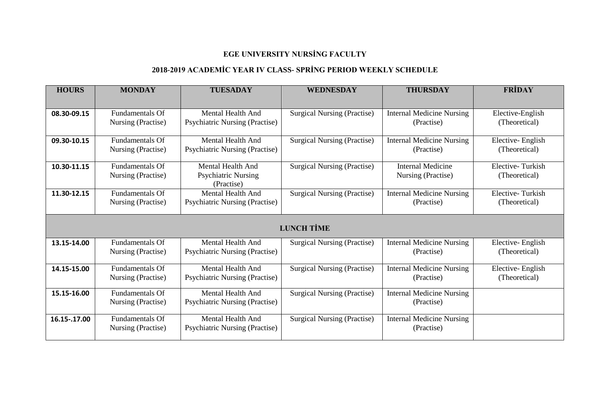### **2018-2019 ACADEMİC YEAR IV CLASS- SPRİNG PERIOD WEEKLY SCHEDULE**

| <b>HOURS</b>      | <b>MONDAY</b>          | <b>TUESADAY</b>                          | <b>WEDNESDAY</b>                   | <b>THURSDAY</b>                  | FRIDAY           |  |  |
|-------------------|------------------------|------------------------------------------|------------------------------------|----------------------------------|------------------|--|--|
|                   |                        |                                          |                                    |                                  |                  |  |  |
| 08.30-09.15       | <b>Fundamentals Of</b> | Mental Health And                        | <b>Surgical Nursing (Practise)</b> | <b>Internal Medicine Nursing</b> | Elective-English |  |  |
|                   | Nursing (Practise)     | <b>Psychiatric Nursing (Practise)</b>    |                                    | (Practise)                       | (Theoretical)    |  |  |
| 09.30-10.15       | <b>Fundamentals Of</b> | <b>Mental Health And</b>                 | <b>Surgical Nursing (Practise)</b> | <b>Internal Medicine Nursing</b> | Elective-English |  |  |
|                   | Nursing (Practise)     | <b>Psychiatric Nursing (Practise)</b>    |                                    | (Practise)                       | (Theoretical)    |  |  |
| 10.30-11.15       | <b>Fundamentals Of</b> | Mental Health And                        | <b>Surgical Nursing (Practise)</b> | Internal Medicine                | Elective-Turkish |  |  |
|                   | Nursing (Practise)     | <b>Psychiatric Nursing</b><br>(Practise) |                                    | Nursing (Practise)               | (Theoretical)    |  |  |
| 11.30-12.15       | <b>Fundamentals Of</b> | <b>Mental Health And</b>                 | <b>Surgical Nursing (Practise)</b> | <b>Internal Medicine Nursing</b> | Elective-Turkish |  |  |
|                   | Nursing (Practise)     | <b>Psychiatric Nursing (Practise)</b>    |                                    | (Practise)                       | (Theoretical)    |  |  |
| <b>LUNCH TİME</b> |                        |                                          |                                    |                                  |                  |  |  |
| 13.15-14.00       | <b>Fundamentals Of</b> | <b>Mental Health And</b>                 | <b>Surgical Nursing (Practise)</b> | <b>Internal Medicine Nursing</b> | Elective-English |  |  |
|                   | Nursing (Practise)     | <b>Psychiatric Nursing (Practise)</b>    |                                    | (Practise)                       | (Theoretical)    |  |  |
|                   |                        |                                          |                                    |                                  |                  |  |  |
| 14.15-15.00       | <b>Fundamentals Of</b> | Mental Health And                        | <b>Surgical Nursing (Practise)</b> | <b>Internal Medicine Nursing</b> | Elective-English |  |  |
|                   | Nursing (Practise)     | <b>Psychiatric Nursing (Practise)</b>    |                                    | (Practise)                       | (Theoretical)    |  |  |
| 15.15-16.00       | <b>Fundamentals Of</b> | <b>Mental Health And</b>                 | <b>Surgical Nursing (Practise)</b> | <b>Internal Medicine Nursing</b> |                  |  |  |
|                   | Nursing (Practise)     | <b>Psychiatric Nursing (Practise)</b>    |                                    | (Practise)                       |                  |  |  |
| 16.15-.17.00      | <b>Fundamentals Of</b> | <b>Mental Health And</b>                 | <b>Surgical Nursing (Practise)</b> | <b>Internal Medicine Nursing</b> |                  |  |  |
|                   | Nursing (Practise)     | <b>Psychiatric Nursing (Practise)</b>    |                                    | (Practise)                       |                  |  |  |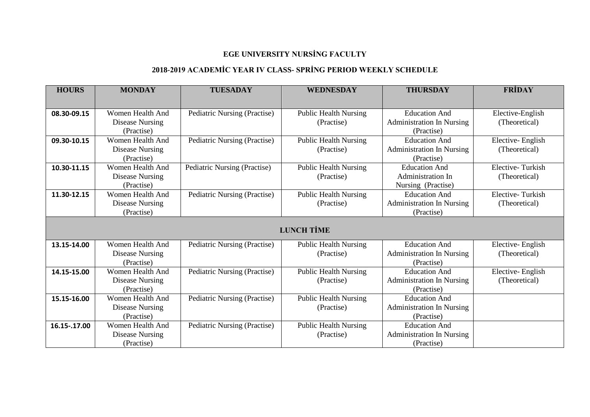### **2018-2019 ACADEMİC YEAR IV CLASS- SPRİNG PERIOD WEEKLY SCHEDULE**

| <b>HOURS</b>      | <b>MONDAY</b>          | <b>TUESADAY</b>              | <b>WEDNESDAY</b>             | <b>THURSDAY</b>                  | <b>FRİDAY</b>    |  |  |
|-------------------|------------------------|------------------------------|------------------------------|----------------------------------|------------------|--|--|
|                   |                        |                              |                              |                                  |                  |  |  |
| 08.30-09.15       | Women Health And       | Pediatric Nursing (Practise) | <b>Public Health Nursing</b> | <b>Education And</b>             | Elective-English |  |  |
|                   | <b>Disease Nursing</b> |                              | (Practise)                   | <b>Administration In Nursing</b> | (Theoretical)    |  |  |
|                   | (Practise)             |                              |                              | (Practise)                       |                  |  |  |
| 09.30-10.15       | Women Health And       | Pediatric Nursing (Practise) | <b>Public Health Nursing</b> | <b>Education And</b>             | Elective-English |  |  |
|                   | Disease Nursing        |                              | (Practise)                   | <b>Administration In Nursing</b> | (Theoretical)    |  |  |
|                   | (Practise)             |                              |                              | (Practise)                       |                  |  |  |
| 10.30-11.15       | Women Health And       | Pediatric Nursing (Practise) | <b>Public Health Nursing</b> | <b>Education And</b>             | Elective-Turkish |  |  |
|                   | <b>Disease Nursing</b> |                              | (Practise)                   | Administration In                | (Theoretical)    |  |  |
|                   | (Practise)             |                              |                              | Nursing (Practise)               |                  |  |  |
| 11.30-12.15       | Women Health And       | Pediatric Nursing (Practise) | <b>Public Health Nursing</b> | <b>Education And</b>             | Elective-Turkish |  |  |
|                   | <b>Disease Nursing</b> |                              | (Practise)                   | <b>Administration In Nursing</b> | (Theoretical)    |  |  |
|                   | (Practise)             |                              |                              | (Practise)                       |                  |  |  |
| <b>LUNCH TİME</b> |                        |                              |                              |                                  |                  |  |  |
| 13.15-14.00       | Women Health And       | Pediatric Nursing (Practise) | <b>Public Health Nursing</b> | <b>Education And</b>             | Elective-English |  |  |
|                   | <b>Disease Nursing</b> |                              | (Practise)                   | <b>Administration In Nursing</b> | (Theoretical)    |  |  |
|                   | (Practise)             |                              |                              | (Practise)                       |                  |  |  |
| 14.15-15.00       | Women Health And       | Pediatric Nursing (Practise) | <b>Public Health Nursing</b> | <b>Education And</b>             | Elective-English |  |  |
|                   | <b>Disease Nursing</b> |                              | (Practise)                   | <b>Administration In Nursing</b> | (Theoretical)    |  |  |
|                   | (Practise)             |                              |                              | (Practise)                       |                  |  |  |
| 15.15-16.00       | Women Health And       | Pediatric Nursing (Practise) | <b>Public Health Nursing</b> | <b>Education And</b>             |                  |  |  |
|                   | <b>Disease Nursing</b> |                              | (Practise)                   | <b>Administration In Nursing</b> |                  |  |  |
|                   | (Practise)             |                              |                              | (Practise)                       |                  |  |  |
| 16.15 - . 17.00   | Women Health And       | Pediatric Nursing (Practise) | <b>Public Health Nursing</b> | <b>Education And</b>             |                  |  |  |
|                   | <b>Disease Nursing</b> |                              | (Practise)                   | <b>Administration In Nursing</b> |                  |  |  |
|                   | (Practise)             |                              |                              | (Practise)                       |                  |  |  |